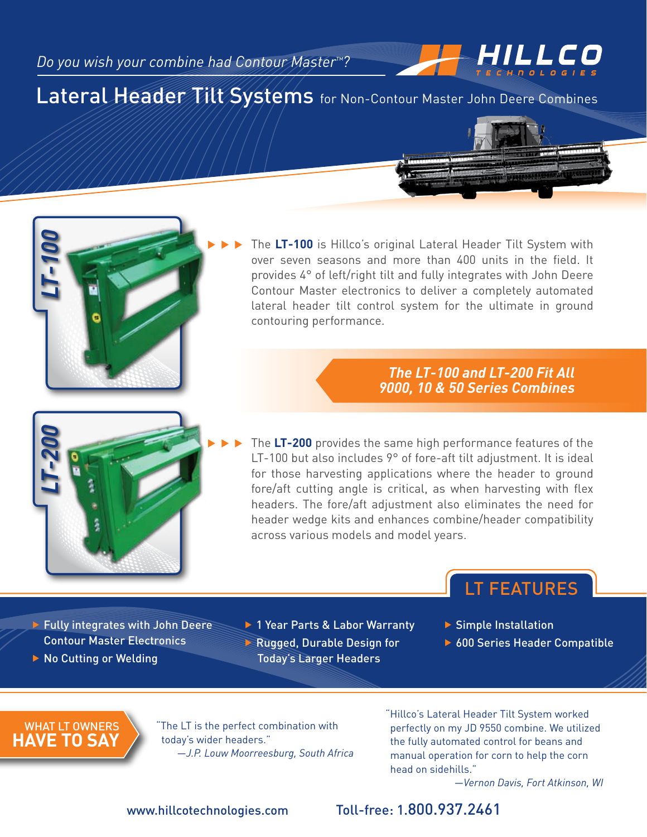# Lateral Header Tilt Systems for Non-Contour Master John Deere Combines

... The **LT-100** is Hillco's original Lateral Header Tilt System with over seven seasons and more than 400 units in the field. It provides 4° of left/right tilt and fully integrates with John Deere Contour Master electronics to deliver a completely automated lateral header tilt control system for the ultimate in ground contouring performance.

### *The LT-100 and LT-200 Fit All 9000, 10 & 50 Series Combines*

The **LT-200** provides the same high performance features of the LT-100 but also includes 9° of fore-aft tilt adjustment. It is ideal for those harvesting applications where the header to ground fore/aft cutting angle is critical, as when harvesting with flex headers. The fore/aft adjustment also eliminates the need for header wedge kits and enhances combine/header compatibility across various models and model years.

- $\blacktriangleright$  Fully integrates with John Deere Contour Master Electronics
- ▶ No Cutting or Welding

▶ 1 Year Parts & Labor Warranty **Rugged, Durable Design for** Today's Larger Headers

 $\blacktriangleright$  Simple Installation

▶ 600 Series Header Compatible

LT Features

HILLCO

WHAT LT OW **have to say**

"The LT is the perfect combination with today's wider headers." *—J.P. Louw Moorreesburg, South Africa* "Hillco's Lateral Header Tilt System worked perfectly on my JD 9550 combine. We utilized the fully automated control for beans and manual operation for corn to help the corn head on sidehills."

*—Vernon Davis, Fort Atkinson, WI*

### www.hillcotechnologies.com Toll-free: 1.800.937.2461



*LT-100*